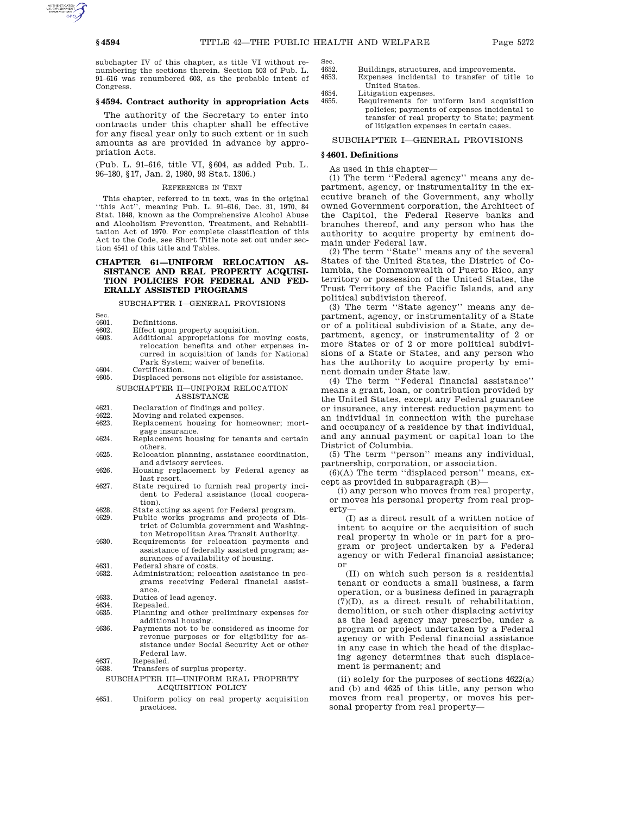Sec.

subchapter IV of this chapter, as title VI without renumbering the sections therein. Section 503 of Pub. L. 91–616 was renumbered 603, as the probable intent of Congress.

# **§ 4594. Contract authority in appropriation Acts**

The authority of the Secretary to enter into contracts under this chapter shall be effective for any fiscal year only to such extent or in such amounts as are provided in advance by appropriation Acts.

(Pub. L. 91–616, title VI, §604, as added Pub. L. 96–180, §17, Jan. 2, 1980, 93 Stat. 1306.)

## REFERENCES IN TEXT

This chapter, referred to in text, was in the original ''this Act'', meaning Pub. L. 91–616, Dec. 31, 1970, 84 Stat. 1848, known as the Comprehensive Alcohol Abuse and Alcoholism Prevention, Treatment, and Rehabilitation Act of 1970. For complete classification of this Act to the Code, see Short Title note set out under section 4541 of this title and Tables.

# **CHAPTER 61—UNIFORM RELOCATION AS-SISTANCE AND REAL PROPERTY ACQUISI-TION POLICIES FOR FEDERAL AND FED-ERALLY ASSISTED PROGRAMS**

SUBCHAPTER I—GENERAL PROVISIONS

- Sec.<br>4601 4601. Definitions.<br>4602. Effect.upon
- 4602. Effect upon property acquisition.<br>4603 Additional appropriations for m
- Additional appropriations for moving costs, relocation benefits and other expenses incurred in acquisition of lands for National Park System; waiver of benefits.
- 4604. Certification.<br>4605. Displaced per

4605. Displaced persons not eligible for assistance. SUBCHAPTER II—UNIFORM RELOCATION ASSISTANCE

- 4621. Declaration of findings and policy.<br>4622. Moving and related expenses.
- 4622. Moving and related expenses.<br>4623. Replacement housing for ho Replacement housing for homeowner; mort-
- gage insurance. 4624. Replacement housing for tenants and certain
- others. 4625. Relocation planning, assistance coordination, and advisory services.
- 4626. Housing replacement by Federal agency as last resort.
- 4627. State required to furnish real property incident to Federal assistance (local cooperation).
- 4628. State acting as agent for Federal program.
- 4629. Public works programs and projects of District of Columbia government and Washington Metropolitan Area Transit Authority.
- 4630. Requirements for relocation payments and assistance of federally assisted program; assurances of availability of housing.
- 4631. Federal share of costs.<br>4632. Administration; reloca Administration; relocation assistance in pro
	- grams receiving Federal financial assistance.
- 4633. Duties of lead agency.<br>4634 Repealed
- 4634. Repealed.<br>4635 Planning
- 4635. Planning and other preliminary expenses for additional housing.
- 4636. Payments not to be considered as income for revenue purposes or for eligibility for assistance under Social Security Act or other Federal law.
- 4637. Repealed.
- 4638. Transfers of surplus property.

# SUBCHAPTER III—UNIFORM REAL PROPERTY ACQUISITION POLICY

4651. Uniform policy on real property acquisition practices.

4652. Buildings, structures, and improvements.<br>4653 Expenses incidental to transfer of titl

- Expenses incidental to transfer of title to United States.
- 4654. Litigation expenses.<br>4655 Requirements for 1
- 4655. Requirements for uniform land acquisition policies; payments of expenses incidental to transfer of real property to State; payment of litigation expenses in certain cases.

SUBCHAPTER I—GENERAL PROVISIONS

# **§ 4601. Definitions**

As used in this chapter—

(1) The term ''Federal agency'' means any department, agency, or instrumentality in the executive branch of the Government, any wholly owned Government corporation, the Architect of the Capitol, the Federal Reserve banks and branches thereof, and any person who has the authority to acquire property by eminent domain under Federal law.

(2) The term ''State'' means any of the several States of the United States, the District of Columbia, the Commonwealth of Puerto Rico, any territory or possession of the United States, the Trust Territory of the Pacific Islands, and any political subdivision thereof.

(3) The term ''State agency'' means any department, agency, or instrumentality of a State or of a political subdivision of a State, any department, agency, or instrumentality of 2 or more States or of 2 or more political subdivisions of a State or States, and any person who has the authority to acquire property by eminent domain under State law.

(4) The term ''Federal financial assistance'' means a grant, loan, or contribution provided by the United States, except any Federal guarantee or insurance, any interest reduction payment to an individual in connection with the purchase and occupancy of a residence by that individual, and any annual payment or capital loan to the District of Columbia.

(5) The term ''person'' means any individual, partnership, corporation, or association.

 $(6)(A)$  The term "displaced person" means, except as provided in subparagraph (B)—

(i) any person who moves from real property, or moves his personal property from real property—

(I) as a direct result of a written notice of intent to acquire or the acquisition of such real property in whole or in part for a program or project undertaken by a Federal agency or with Federal financial assistance; or

(II) on which such person is a residential tenant or conducts a small business, a farm operation, or a business defined in paragraph (7)(D), as a direct result of rehabilitation, demolition, or such other displacing activity as the lead agency may prescribe, under a program or project undertaken by a Federal agency or with Federal financial assistance in any case in which the head of the displacing agency determines that such displacement is permanent; and

(ii) solely for the purposes of sections 4622(a) and (b) and 4625 of this title, any person who moves from real property, or moves his personal property from real property—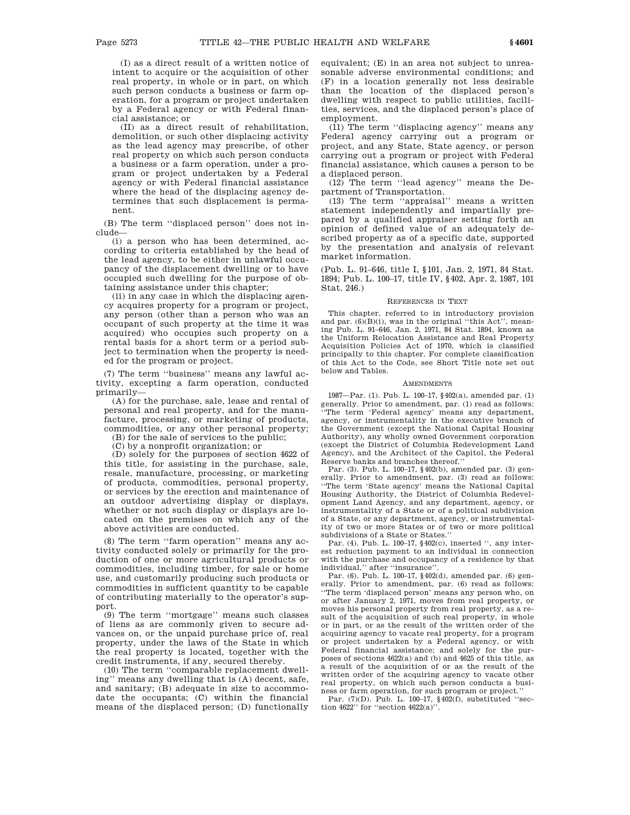(I) as a direct result of a written notice of intent to acquire or the acquisition of other real property, in whole or in part, on which such person conducts a business or farm operation, for a program or project undertaken by a Federal agency or with Federal financial assistance; or

(II) as a direct result of rehabilitation, demolition, or such other displacing activity as the lead agency may prescribe, of other real property on which such person conducts a business or a farm operation, under a program or project undertaken by a Federal agency or with Federal financial assistance where the head of the displacing agency determines that such displacement is permanent.

(B) The term ''displaced person'' does not include—

(i) a person who has been determined, according to criteria established by the head of the lead agency, to be either in unlawful occupancy of the displacement dwelling or to have occupied such dwelling for the purpose of obtaining assistance under this chapter;

(ii) in any case in which the displacing agency acquires property for a program or project, any person (other than a person who was an occupant of such property at the time it was acquired) who occupies such property on a rental basis for a short term or a period subject to termination when the property is needed for the program or project.

(7) The term ''business'' means any lawful activity, excepting a farm operation, conducted primarily—

(A) for the purchase, sale, lease and rental of personal and real property, and for the manufacture, processing, or marketing of products, commodities, or any other personal property;

(B) for the sale of services to the public;

(C) by a nonprofit organization; or

(D) solely for the purposes of section 4622 of this title, for assisting in the purchase, sale, resale, manufacture, processing, or marketing of products, commodities, personal property, or services by the erection and maintenance of an outdoor advertising display or displays, whether or not such display or displays are located on the premises on which any of the above activities are conducted.

(8) The term ''farm operation'' means any activity conducted solely or primarily for the production of one or more agricultural products or commodities, including timber, for sale or home use, and customarily producing such products or commodities in sufficient quantity to be capable of contributing materially to the operator's support.

(9) The term ''mortgage'' means such classes of liens as are commonly given to secure advances on, or the unpaid purchase price of, real property, under the laws of the State in which the real property is located, together with the credit instruments, if any, secured thereby.

(10) The term ''comparable replacement dwelling'' means any dwelling that is (A) decent, safe, and sanitary; (B) adequate in size to accommodate the occupants; (C) within the financial means of the displaced person; (D) functionally equivalent; (E) in an area not subject to unreasonable adverse environmental conditions; and (F) in a location generally not less desirable than the location of the displaced person's dwelling with respect to public utilities, facilities, services, and the displaced person's place of employment.

(11) The term ''displacing agency'' means any Federal agency carrying out a program or project, and any State, State agency, or person carrying out a program or project with Federal financial assistance, which causes a person to be a displaced person.

(12) The term ''lead agency'' means the Department of Transportation.

(13) The term ''appraisal'' means a written statement independently and impartially prepared by a qualified appraiser setting forth an opinion of defined value of an adequately described property as of a specific date, supported by the presentation and analysis of relevant market information.

(Pub. L. 91–646, title I, §101, Jan. 2, 1971, 84 Stat. 1894; Pub. L. 100–17, title IV, §402, Apr. 2, 1987, 101 Stat. 246.)

## REFERENCES IN TEXT

This chapter, referred to in introductory provision and par.  $(6)(B)(i)$ , was in the original "this Act", meaning Pub. L. 91–646, Jan. 2, 1971, 84 Stat. 1894, known as the Uniform Relocation Assistance and Real Property Acquisition Policies Act of 1970, which is classified principally to this chapter. For complete classification of this Act to the Code, see Short Title note set out below and Tables.

### **AMENDMENTS**

1987—Par. (1). Pub. L. 100–17, §402(a), amended par. (1) generally. Prior to amendment, par. (1) read as follows:<br>"The town 'Pederal same, in 'The term 'Federal agency' means any department, agency, or instrumentality in the executive branch of the Government (except the National Capital Housing Authority), any wholly owned Government corporation (except the District of Columbia Redevelopment Land Agency), and the Architect of the Capitol, the Federal Reserve banks and branches thereof.''

Par. (3). Pub. L. 100–17, §402(b), amended par. (3) generally. Prior to amendment, par. (3) read as follows: ''The term 'State agency' means the National Capital Housing Authority, the District of Columbia Redevelopment Land Agency, and any department, agency, or instrumentality of a State or of a political subdivision of a State, or any department, agency, or instrumentality of two or more States or of two or more political subdivisions of a State or States.''

Par. (4). Pub. L. 100–17, §402(c), inserted '', any interest reduction payment to an individual in connection with the purchase and occupancy of a residence by that individual,'' after ''insurance''.

Par. (6). Pub. L. 100–17, §402(d), amended par. (6) generally. Prior to amendment, par. (6) read as follows: ''The term 'displaced person' means any person who, on or after January 2, 1971, moves from real property, or moves his personal property from real property, as a result of the acquisition of such real property, in whole or in part, or as the result of the written order of the acquiring agency to vacate real property, for a program or project undertaken by a Federal agency, or with Federal financial assistance; and solely for the purposes of sections 4622(a) and (b) and 4625 of this title, as a result of the acquisition of or as the result of the written order of the acquiring agency to vacate other real property, on which such person conducts a business or farm operation, for such program or project.''

Par. (7)(D). Pub. L. 100–17, §402(f), substituted ''section  $4622$ " for "section  $4622(a)$ ".